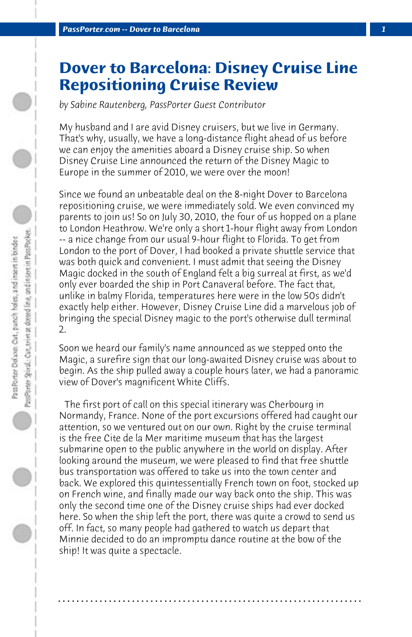## **Dover to Barcelona: Disney Cruise Line Repositioning Cruise Review**

*by Sabine Rautenberg, PassPorter Guest Contributor*

My husband and I are avid Disney cruisers, but we live in Germany. That's why, usually, we have a long-distance flight ahead of us before we can enjoy the amenities aboard a Disney cruise ship. So when Disney Cruise Line announced the return of the Disney Magic to Europe in the summer of 2010, we were over the moon!

Since we found an unbeatable deal on the 8-night Dover to Barcelona repositioning cruise, we were immediately sold. We even convinced my parents to join us! So on July 30, 2010, the four of us hopped on a plane to London Heathrow. We're only a short 1-hour flight away from London -- a nice change from our usual 9-hour flight to Florida. To get from London to the port of Dover, I had booked a private shuttle service that was both quick and convenient. I must admit that seeing the Disney Magic docked in the south of England felt a big surreal at first, as we'd only ever boarded the ship in Port Canaveral before. The fact that, unlike in balmy Florida, temperatures here were in the low 50s didn't exactly help either. However, Disney Cruise Line did a marvelous job of bringing the special Disney magic to the port's otherwise dull terminal 2.

Soon we heard our family's name announced as we stepped onto the Magic, a surefire sign that our long-awaited Disney cruise was about to begin. As the ship pulled away a couple hours later, we had a panoramic view of Dover's magnificent White Cliffs.

 The first port of call on this special itinerary was Cherbourg in Normandy, France. None of the port excursions offered had caught our attention, so we ventured out on our own. Right by the cruise terminal is the free Cite de la Mer maritime museum that has the largest submarine open to the public anywhere in the world on display. After looking around the museum, we were pleased to find that free shuttle bus transportation was offered to take us into the town center and back. We explored this quintessentially French town on foot, stocked up on French wine, and finally made our way back onto the ship. This was only the second time one of the Disney cruise ships had ever docked here. So when the ship left the port, there was quite a crowd to send us off. In fact, so many people had gathered to watch us depart that Minnie decided to do an impromptu dance routine at the bow of the ship! It was quite a spectacle.

**. . . . . . . . . . . . . . . . . . . . . . . . . . . . . . . . . . . . . . . . . . . . . . . . . . . . . . . . . . . . . . . . . .**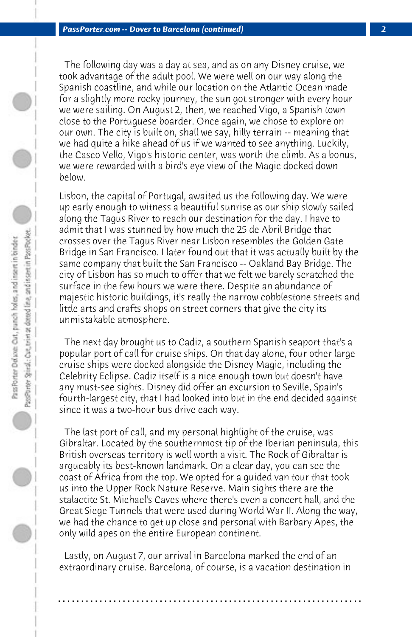The following day was a day at sea, and as on any Disney cruise, we took advantage of the adult pool. We were well on our way along the Spanish coastline, and while our location on the Atlantic Ocean made for a slightly more rocky journey, the sun got stronger with every hour we were sailing. On August 2, then, we reached Vigo, a Spanish town close to the Portuguese boarder. Once again, we chose to explore on our own. The city is built on, shall we say, hilly terrain -- meaning that we had quite a hike ahead of us if we wanted to see anything. Luckily, the Casco Vello, Vigo's historic center, was worth the climb. As a bonus, we were rewarded with a bird's eye view of the Magic docked down below.

Lisbon, the capital of Portugal, awaited us the following day. We were up early enough to witness a beautiful sunrise as our ship slowly sailed along the Tagus River to reach our destination for the day. I have to admit that I was stunned by how much the 25 de Abril Bridge that crosses over the Tagus River near Lisbon resembles the Golden Gate Bridge in San Francisco. I later found out that it was actually built by the same company that built the San Francisco -- Oakland Bay Bridge. The city of Lisbon has so much to offer that we felt we barely scratched the surface in the few hours we were there. Despite an abundance of majestic historic buildings, it's really the narrow cobblestone streets and little arts and crafts shops on street corners that give the city its unmistakable atmosphere.

 The next day brought us to Cadiz, a southern Spanish seaport that's a popular port of call for cruise ships. On that day alone, four other large cruise ships were docked alongside the Disney Magic, including the Celebrity Eclipse. Cadiz itself is a nice enough town but doesn't have any must-see sights. Disney did offer an excursion to Seville, Spain's fourth-largest city, that I had looked into but in the end decided against since it was a two-hour bus drive each way.

 The last port of call, and my personal highlight of the cruise, was Gibraltar. Located by the southernmost tip of the Iberian peninsula, this British overseas territory is well worth a visit. The Rock of Gibraltar is argueably its best-known landmark. On a clear day, you can see the coast of Africa from the top. We opted for a guided van tour that took us into the Upper Rock Nature Reserve. Main sights there are the stalactite St. Michael's Caves where there's even a concert hall, and the Great Siege Tunnels that were used during World War II. Along the way, we had the chance to get up close and personal with Barbary Apes, the only wild apes on the entire European continent.

 Lastly, on August 7, our arrival in Barcelona marked the end of an extraordinary cruise. Barcelona, of course, is a vacation destination in

**. . . . . . . . . . . . . . . . . . . . . . . . . . . . . . . . . . . . . . . . . . . . . . . . . . . . . . . . . . . . . . . . . .**